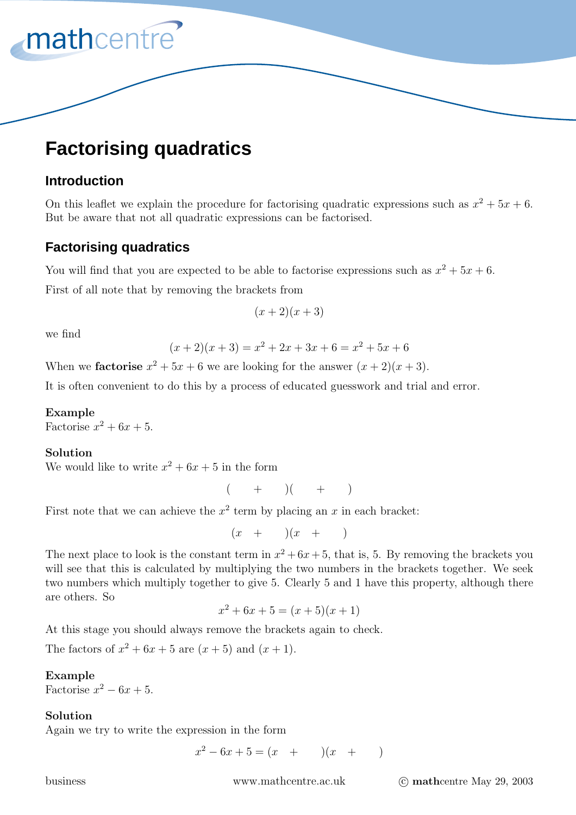# **Factorising quadratics**

## **Introduction**

mathcentre<sup>®</sup>

On this leaflet we explain the procedure for factorising quadratic expressions such as  $x^2 + 5x + 6$ . But be aware that not all quadratic expressions can be factorised.

# **Factorising quadratics**

You will find that you are expected to be able to factorise expressions such as  $x^2 + 5x + 6$ .

First of all note that by removing the brackets from

$$
(x+2)(x+3)
$$

we find

$$
(x+2)(x+3) = x2 + 2x + 3x + 6 = x2 + 5x + 6
$$

When we **factorise**  $x^2 + 5x + 6$  we are looking for the answer  $(x + 2)(x + 3)$ .

It is often convenient to do this by a process of educated guesswork and trial and error.

## **Example**

Factorise  $x^2 + 6x + 5$ .

### **Solution**

We would like to write  $x^2 + 6x + 5$  in the form

 $( + )$   $( + )$ 

First note that we can achieve the  $x^2$  term by placing an x in each bracket:

 $(x + ) (x + )$ 

The next place to look is the constant term in  $x^2 + 6x + 5$ , that is, 5. By removing the brackets you will see that this is calculated by multiplying the two numbers in the brackets together. We seek two numbers which multiply together to give 5. Clearly 5 and 1 have this property, although there are others. So

$$
x^2 + 6x + 5 = (x+5)(x+1)
$$

At this stage you should always remove the brackets again to check.

The factors of  $x^2 + 6x + 5$  are  $(x+5)$  and  $(x+1)$ .

### **Example**

Factorise  $x^2 - 6x + 5$ .

### **Solution**

Again we try to write the expression in the form

$$
x^2 - 6x + 5 = (x + ) (x + )
$$

business www.mathcentre.ac.uk